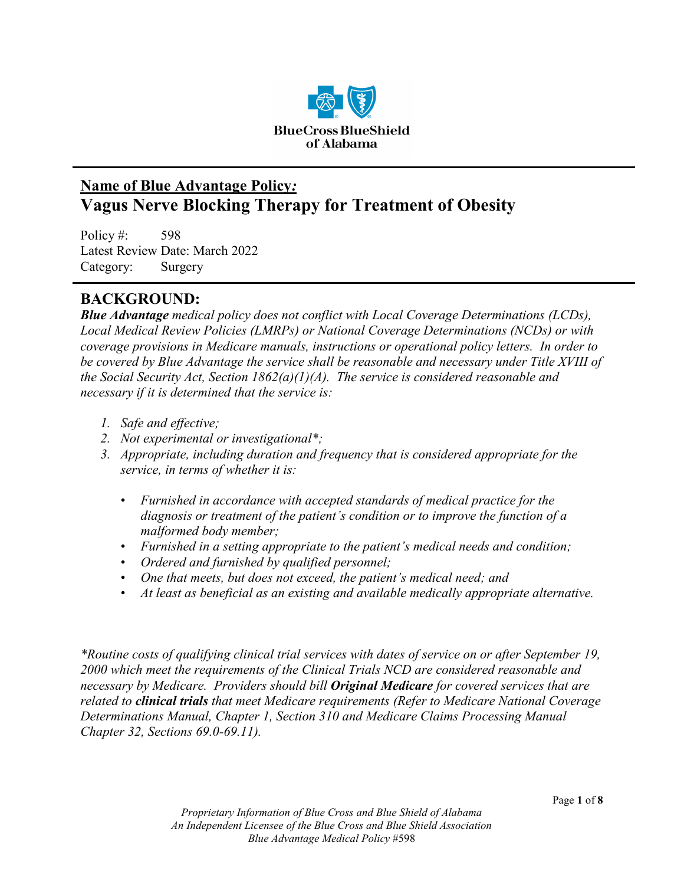

# **Name of Blue Advantage Policy***:* **Vagus Nerve Blocking Therapy for Treatment of Obesity**

Policy #: 598 Latest Review Date: March 2022 Category: Surgery

# **BACKGROUND:**

*Blue Advantage medical policy does not conflict with Local Coverage Determinations (LCDs), Local Medical Review Policies (LMRPs) or National Coverage Determinations (NCDs) or with coverage provisions in Medicare manuals, instructions or operational policy letters. In order to be covered by Blue Advantage the service shall be reasonable and necessary under Title XVIII of the Social Security Act, Section 1862(a)(1)(A). The service is considered reasonable and necessary if it is determined that the service is:*

- *1. Safe and effective;*
- *2. Not experimental or investigational\*;*
- *3. Appropriate, including duration and frequency that is considered appropriate for the service, in terms of whether it is:*
	- *Furnished in accordance with accepted standards of medical practice for the diagnosis or treatment of the patient's condition or to improve the function of a malformed body member;*
	- *Furnished in a setting appropriate to the patient's medical needs and condition;*
	- *Ordered and furnished by qualified personnel;*
	- *One that meets, but does not exceed, the patient's medical need; and*
	- *At least as beneficial as an existing and available medically appropriate alternative.*

*\*Routine costs of qualifying clinical trial services with dates of service on or after September 19, 2000 which meet the requirements of the Clinical Trials NCD are considered reasonable and necessary by Medicare. Providers should bill Original Medicare for covered services that are related to clinical trials that meet Medicare requirements (Refer to Medicare National Coverage Determinations Manual, Chapter 1, Section 310 and Medicare Claims Processing Manual Chapter 32, Sections 69.0-69.11).*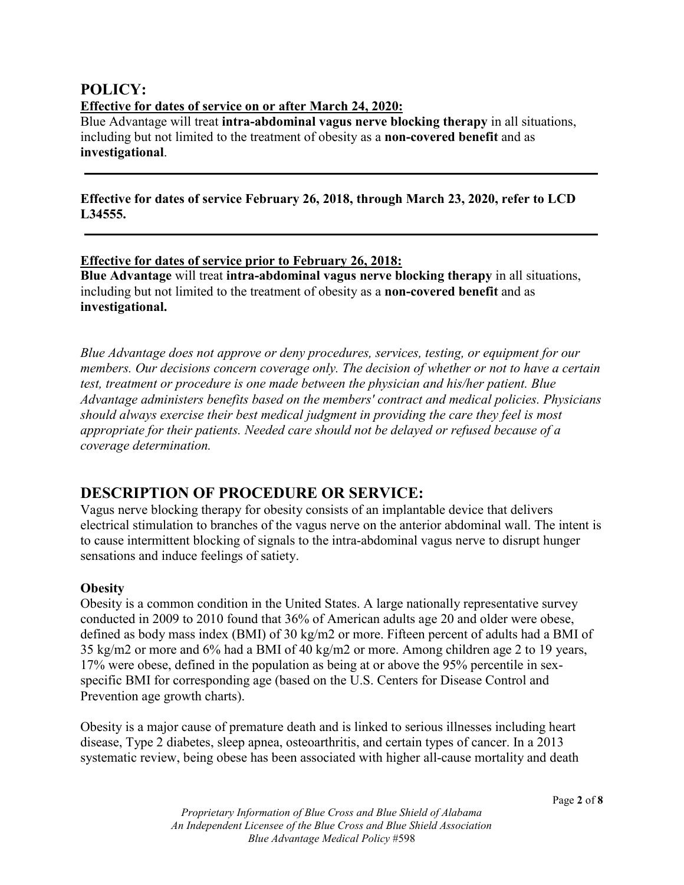### **POLICY: Effective for dates of service on or after March 24, 2020:**

Blue Advantage will treat **intra-abdominal vagus nerve blocking therapy** in all situations, including but not limited to the treatment of obesity as a **non-covered benefit** and as **investigational**.

### **Effective for dates of service February 26, 2018, through March 23, 2020, refer to LCD L34555.**

### **Effective for dates of service prior to February 26, 2018:**

**Blue Advantage** will treat **intra-abdominal vagus nerve blocking therapy** in all situations, including but not limited to the treatment of obesity as a **non-covered benefit** and as **investigational.**

*Blue Advantage does not approve or deny procedures, services, testing, or equipment for our members. Our decisions concern coverage only. The decision of whether or not to have a certain test, treatment or procedure is one made between the physician and his/her patient. Blue Advantage administers benefits based on the members' contract and medical policies. Physicians should always exercise their best medical judgment in providing the care they feel is most appropriate for their patients. Needed care should not be delayed or refused because of a coverage determination.* 

### **DESCRIPTION OF PROCEDURE OR SERVICE:**

Vagus nerve blocking therapy for obesity consists of an implantable device that delivers electrical stimulation to branches of the vagus nerve on the anterior abdominal wall. The intent is to cause intermittent blocking of signals to the intra-abdominal vagus nerve to disrupt hunger sensations and induce feelings of satiety.

### **Obesity**

Obesity is a common condition in the United States. A large nationally representative survey conducted in 2009 to 2010 found that 36% of American adults age 20 and older were obese, defined as body mass index (BMI) of 30 kg/m2 or more. Fifteen percent of adults had a BMI of 35 kg/m2 or more and 6% had a BMI of 40 kg/m2 or more. Among children age 2 to 19 years, 17% were obese, defined in the population as being at or above the 95% percentile in sexspecific BMI for corresponding age (based on the U.S. Centers for Disease Control and Prevention age growth charts).

Obesity is a major cause of premature death and is linked to serious illnesses including heart disease, Type 2 diabetes, sleep apnea, osteoarthritis, and certain types of cancer. In a 2013 systematic review, being obese has been associated with higher all-cause mortality and death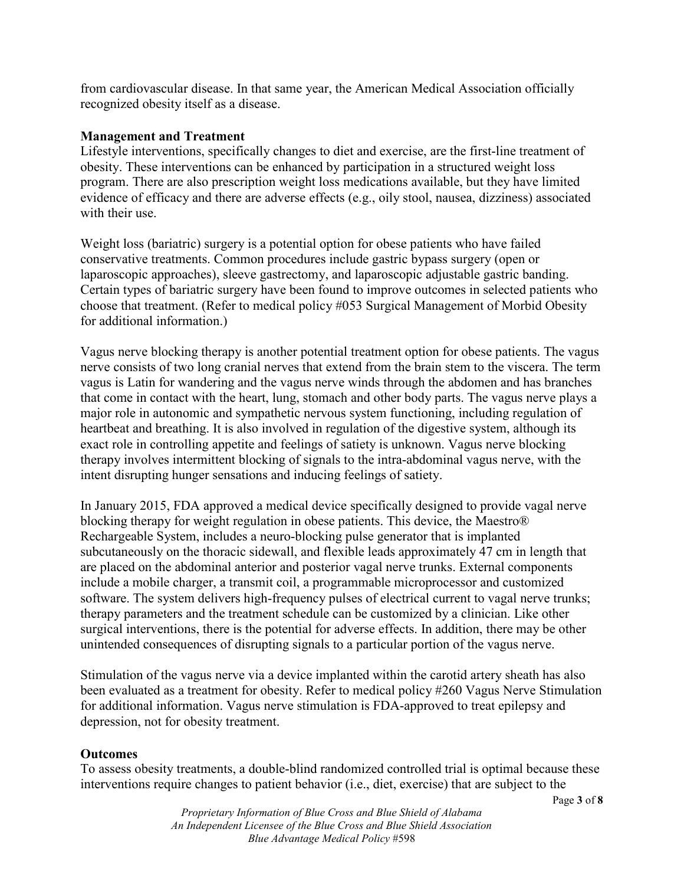from cardiovascular disease. In that same year, the American Medical Association officially recognized obesity itself as a disease.

#### **Management and Treatment**

Lifestyle interventions, specifically changes to diet and exercise, are the first-line treatment of obesity. These interventions can be enhanced by participation in a structured weight loss program. There are also prescription weight loss medications available, but they have limited evidence of efficacy and there are adverse effects (e.g., oily stool, nausea, dizziness) associated with their use.

Weight loss (bariatric) surgery is a potential option for obese patients who have failed conservative treatments. Common procedures include gastric bypass surgery (open or laparoscopic approaches), sleeve gastrectomy, and laparoscopic adjustable gastric banding. Certain types of bariatric surgery have been found to improve outcomes in selected patients who choose that treatment. (Refer to medical policy #053 Surgical Management of Morbid Obesity for additional information.)

Vagus nerve blocking therapy is another potential treatment option for obese patients. The vagus nerve consists of two long cranial nerves that extend from the brain stem to the viscera. The term vagus is Latin for wandering and the vagus nerve winds through the abdomen and has branches that come in contact with the heart, lung, stomach and other body parts. The vagus nerve plays a major role in autonomic and sympathetic nervous system functioning, including regulation of heartbeat and breathing. It is also involved in regulation of the digestive system, although its exact role in controlling appetite and feelings of satiety is unknown. Vagus nerve blocking therapy involves intermittent blocking of signals to the intra-abdominal vagus nerve, with the intent disrupting hunger sensations and inducing feelings of satiety.

In January 2015, FDA approved a medical device specifically designed to provide vagal nerve blocking therapy for weight regulation in obese patients. This device, the Maestro® Rechargeable System, includes a neuro-blocking pulse generator that is implanted subcutaneously on the thoracic sidewall, and flexible leads approximately 47 cm in length that are placed on the abdominal anterior and posterior vagal nerve trunks. External components include a mobile charger, a transmit coil, a programmable microprocessor and customized software. The system delivers high-frequency pulses of electrical current to vagal nerve trunks; therapy parameters and the treatment schedule can be customized by a clinician. Like other surgical interventions, there is the potential for adverse effects. In addition, there may be other unintended consequences of disrupting signals to a particular portion of the vagus nerve.

Stimulation of the vagus nerve via a device implanted within the carotid artery sheath has also been evaluated as a treatment for obesity. Refer to medical policy #260 Vagus Nerve Stimulation for additional information. Vagus nerve stimulation is FDA-approved to treat epilepsy and depression, not for obesity treatment.

#### **Outcomes**

To assess obesity treatments, a double-blind randomized controlled trial is optimal because these interventions require changes to patient behavior (i.e., diet, exercise) that are subject to the

> *Proprietary Information of Blue Cross and Blue Shield of Alabama An Independent Licensee of the Blue Cross and Blue Shield Association Blue Advantage Medical Policy* #598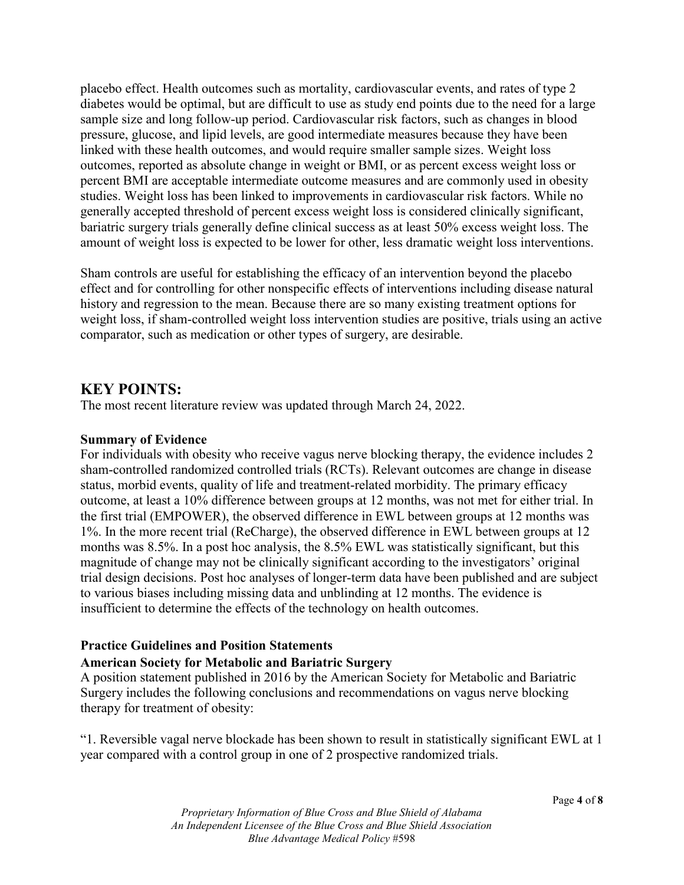placebo effect. Health outcomes such as mortality, cardiovascular events, and rates of type 2 diabetes would be optimal, but are difficult to use as study end points due to the need for a large sample size and long follow-up period. Cardiovascular risk factors, such as changes in blood pressure, glucose, and lipid levels, are good intermediate measures because they have been linked with these health outcomes, and would require smaller sample sizes. Weight loss outcomes, reported as absolute change in weight or BMI, or as percent excess weight loss or percent BMI are acceptable intermediate outcome measures and are commonly used in obesity studies. Weight loss has been linked to improvements in cardiovascular risk factors. While no generally accepted threshold of percent excess weight loss is considered clinically significant, bariatric surgery trials generally define clinical success as at least 50% excess weight loss. The amount of weight loss is expected to be lower for other, less dramatic weight loss interventions.

Sham controls are useful for establishing the efficacy of an intervention beyond the placebo effect and for controlling for other nonspecific effects of interventions including disease natural history and regression to the mean. Because there are so many existing treatment options for weight loss, if sham-controlled weight loss intervention studies are positive, trials using an active comparator, such as medication or other types of surgery, are desirable.

### **KEY POINTS:**

The most recent literature review was updated through March 24, 2022.

#### **Summary of Evidence**

For individuals with obesity who receive vagus nerve blocking therapy, the evidence includes 2 sham-controlled randomized controlled trials (RCTs). Relevant outcomes are change in disease status, morbid events, quality of life and treatment-related morbidity. The primary efficacy outcome, at least a 10% difference between groups at 12 months, was not met for either trial. In the first trial (EMPOWER), the observed difference in EWL between groups at 12 months was 1%. In the more recent trial (ReCharge), the observed difference in EWL between groups at 12 months was 8.5%. In a post hoc analysis, the 8.5% EWL was statistically significant, but this magnitude of change may not be clinically significant according to the investigators' original trial design decisions. Post hoc analyses of longer-term data have been published and are subject to various biases including missing data and unblinding at 12 months. The evidence is insufficient to determine the effects of the technology on health outcomes.

### **Practice Guidelines and Position Statements**

#### **American Society for Metabolic and Bariatric Surgery**

A position statement published in 2016 by the American Society for Metabolic and Bariatric Surgery includes the following conclusions and recommendations on vagus nerve blocking therapy for treatment of obesity:

"1. Reversible vagal nerve blockade has been shown to result in statistically significant EWL at 1 year compared with a control group in one of 2 prospective randomized trials.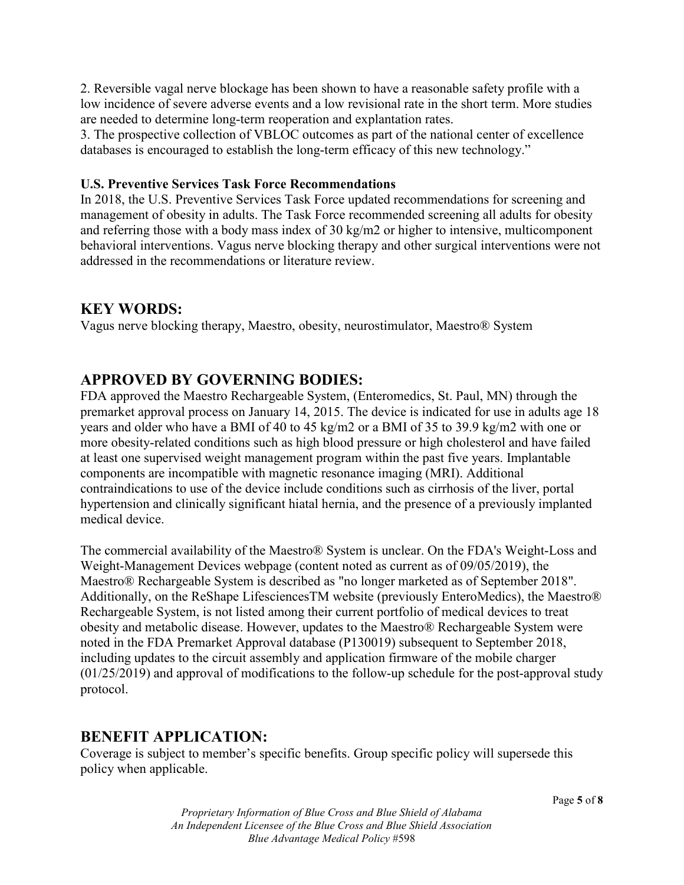2. Reversible vagal nerve blockage has been shown to have a reasonable safety profile with a low incidence of severe adverse events and a low revisional rate in the short term. More studies are needed to determine long-term reoperation and explantation rates.

3. The prospective collection of VBLOC outcomes as part of the national center of excellence databases is encouraged to establish the long-term efficacy of this new technology."

#### **U.S. Preventive Services Task Force Recommendations**

In 2018, the U.S. Preventive Services Task Force updated recommendations for screening and management of obesity in adults. The Task Force recommended screening all adults for obesity and referring those with a body mass index of 30 kg/m2 or higher to intensive, multicomponent behavioral interventions. Vagus nerve blocking therapy and other surgical interventions were not addressed in the recommendations or literature review.

## **KEY WORDS:**

Vagus nerve blocking therapy, Maestro, obesity, neurostimulator, Maestro® System

# **APPROVED BY GOVERNING BODIES:**

FDA approved the Maestro Rechargeable System, (Enteromedics, St. Paul, MN) through the premarket approval process on January 14, 2015. The device is indicated for use in adults age 18 years and older who have a BMI of 40 to 45 kg/m2 or a BMI of 35 to 39.9 kg/m2 with one or more obesity-related conditions such as high blood pressure or high cholesterol and have failed at least one supervised weight management program within the past five years. Implantable components are incompatible with magnetic resonance imaging (MRI). Additional contraindications to use of the device include conditions such as cirrhosis of the liver, portal hypertension and clinically significant hiatal hernia, and the presence of a previously implanted medical device.

The commercial availability of the Maestro® System is unclear. On the FDA's Weight-Loss and Weight-Management Devices webpage (content noted as current as of 09/05/2019), the Maestro® Rechargeable System is described as "no longer marketed as of September 2018". Additionally, on the ReShape LifesciencesTM website (previously EnteroMedics), the Maestro® Rechargeable System, is not listed among their current portfolio of medical devices to treat obesity and metabolic disease. However, updates to the Maestro® Rechargeable System were noted in the FDA Premarket Approval database (P130019) subsequent to September 2018, including updates to the circuit assembly and application firmware of the mobile charger (01/25/2019) and approval of modifications to the follow-up schedule for the post-approval study protocol.

### **BENEFIT APPLICATION:**

Coverage is subject to member's specific benefits. Group specific policy will supersede this policy when applicable.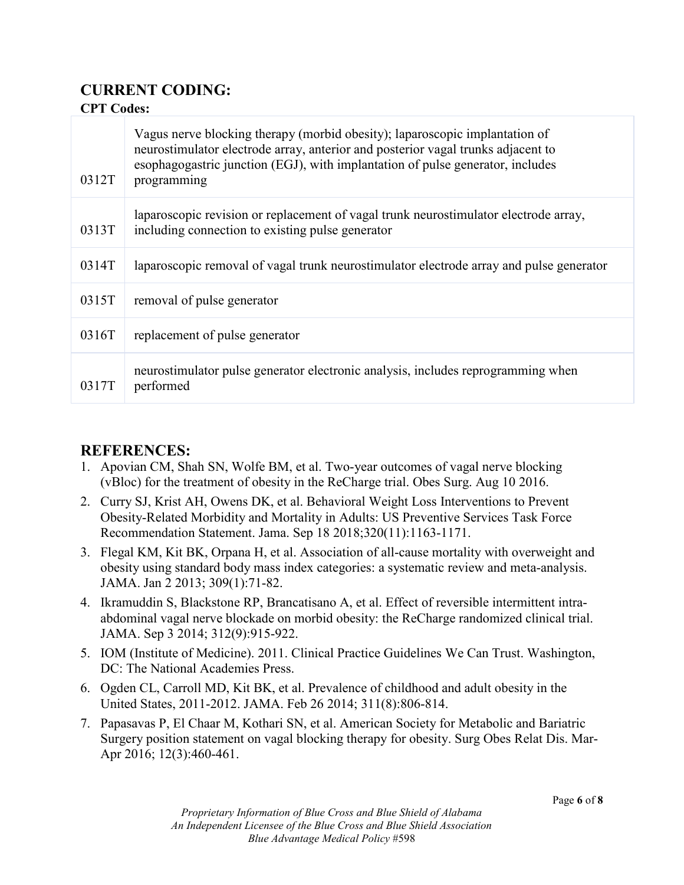# **CURRENT CODING:**

### **CPT Codes:**

| 0312T | Vagus nerve blocking therapy (morbid obesity); laparoscopic implantation of<br>neurostimulator electrode array, anterior and posterior vagal trunks adjacent to<br>esophagogastric junction (EGJ), with implantation of pulse generator, includes<br>programming |
|-------|------------------------------------------------------------------------------------------------------------------------------------------------------------------------------------------------------------------------------------------------------------------|
| 0313T | laparoscopic revision or replacement of vagal trunk neurostimulator electrode array,<br>including connection to existing pulse generator                                                                                                                         |
| 0314T | laparoscopic removal of vagal trunk neurostimulator electrode array and pulse generator                                                                                                                                                                          |
| 0315T | removal of pulse generator                                                                                                                                                                                                                                       |
| 0316T | replacement of pulse generator                                                                                                                                                                                                                                   |
| 0317T | neurostimulator pulse generator electronic analysis, includes reprogramming when<br>performed                                                                                                                                                                    |

# **REFERENCES:**

- 1. Apovian CM, Shah SN, Wolfe BM, et al. Two-year outcomes of vagal nerve blocking (vBloc) for the treatment of obesity in the ReCharge trial. Obes Surg. Aug 10 2016.
- 2. Curry SJ, Krist AH, Owens DK, et al. Behavioral Weight Loss Interventions to Prevent Obesity-Related Morbidity and Mortality in Adults: US Preventive Services Task Force Recommendation Statement. Jama. Sep 18 2018;320(11):1163-1171.
- 3. Flegal KM, Kit BK, Orpana H, et al. Association of all-cause mortality with overweight and obesity using standard body mass index categories: a systematic review and meta-analysis. JAMA. Jan 2 2013; 309(1):71-82.
- 4. Ikramuddin S, Blackstone RP, Brancatisano A, et al. Effect of reversible intermittent intraabdominal vagal nerve blockade on morbid obesity: the ReCharge randomized clinical trial. JAMA. Sep 3 2014; 312(9):915-922.
- 5. IOM (Institute of Medicine). 2011. Clinical Practice Guidelines We Can Trust. Washington, DC: The National Academies Press.
- 6. Ogden CL, Carroll MD, Kit BK, et al. Prevalence of childhood and adult obesity in the United States, 2011-2012. JAMA. Feb 26 2014; 311(8):806-814.
- 7. Papasavas P, El Chaar M, Kothari SN, et al. American Society for Metabolic and Bariatric Surgery position statement on vagal blocking therapy for obesity. Surg Obes Relat Dis. Mar-Apr 2016; 12(3):460-461.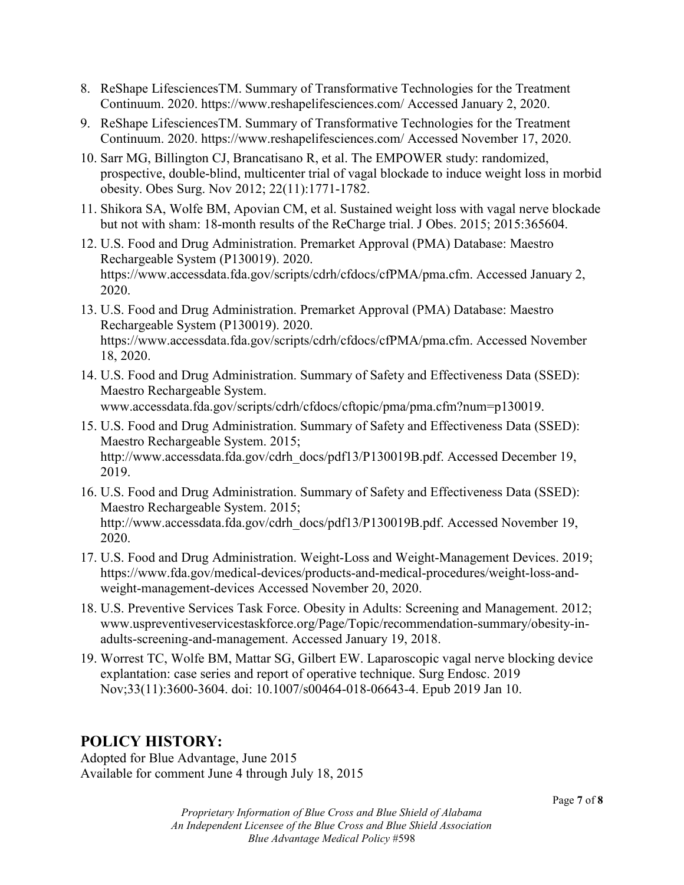- 8. ReShape LifesciencesTM. Summary of Transformative Technologies for the Treatment Continuum. 2020. https://www.reshapelifesciences.com/ Accessed January 2, 2020.
- 9. ReShape LifesciencesTM. Summary of Transformative Technologies for the Treatment Continuum. 2020. https://www.reshapelifesciences.com/ Accessed November 17, 2020.
- 10. Sarr MG, Billington CJ, Brancatisano R, et al. The EMPOWER study: randomized, prospective, double-blind, multicenter trial of vagal blockade to induce weight loss in morbid obesity. Obes Surg. Nov 2012; 22(11):1771-1782.
- 11. Shikora SA, Wolfe BM, Apovian CM, et al. Sustained weight loss with vagal nerve blockade but not with sham: 18-month results of the ReCharge trial. J Obes. 2015; 2015:365604.
- 12. U.S. Food and Drug Administration. Premarket Approval (PMA) Database: Maestro Rechargeable System (P130019). 2020. https://www.accessdata.fda.gov/scripts/cdrh/cfdocs/cfPMA/pma.cfm. Accessed January 2, 2020.
- 13. U.S. Food and Drug Administration. Premarket Approval (PMA) Database: Maestro Rechargeable System (P130019). 2020. https://www.accessdata.fda.gov/scripts/cdrh/cfdocs/cfPMA/pma.cfm. Accessed November 18, 2020.
- 14. U.S. Food and Drug Administration. Summary of Safety and Effectiveness Data (SSED): Maestro Rechargeable System. www.accessdata.fda.gov/scripts/cdrh/cfdocs/cftopic/pma/pma.cfm?num=p130019.
- 15. U.S. Food and Drug Administration. Summary of Safety and Effectiveness Data (SSED): Maestro Rechargeable System. 2015; http://www.accessdata.fda.gov/cdrh\_docs/pdf13/P130019B.pdf. Accessed December 19, 2019.
- 16. U.S. Food and Drug Administration. Summary of Safety and Effectiveness Data (SSED): Maestro Rechargeable System. 2015; http://www.accessdata.fda.gov/cdrh\_docs/pdf13/P130019B.pdf. Accessed November 19, 2020.
- 17. U.S. Food and Drug Administration. Weight-Loss and Weight-Management Devices. 2019; https://www.fda.gov/medical-devices/products-and-medical-procedures/weight-loss-andweight-management-devices Accessed November 20, 2020.
- 18. U.S. Preventive Services Task Force. Obesity in Adults: Screening and Management. 2012; www.uspreventiveservicestaskforce.org/Page/Topic/recommendation-summary/obesity-inadults-screening-and-management. Accessed January 19, 2018.
- 19. Worrest TC, Wolfe BM, Mattar SG, Gilbert EW. Laparoscopic vagal nerve blocking device explantation: case series and report of operative technique. Surg Endosc. 2019 Nov;33(11):3600-3604. doi: 10.1007/s00464-018-06643-4. Epub 2019 Jan 10.

# **POLICY HISTORY:**

Adopted for Blue Advantage, June 2015 Available for comment June 4 through July 18, 2015